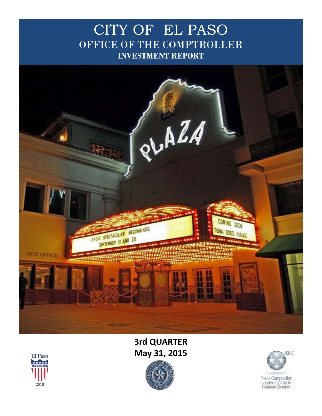## CITY OF EL PASO OFFICE OF THE COMPTROLLER **INVESTMENT REPORT**



## **3rd QUARTER May 31, 2015**





**Texas Comptroller** Leadership Circle<br>Platinum Member

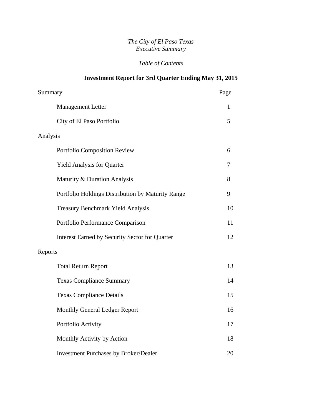#### *The City of El Paso Texas Executive Summary*

### *Table of Contents*

### **Investment Report for 3rd Quarter Ending May 31, 2015**

| Summary                                               | Page |
|-------------------------------------------------------|------|
| <b>Management Letter</b>                              | 1    |
| City of El Paso Portfolio                             | 5    |
| Analysis                                              |      |
| Portfolio Composition Review                          | 6    |
| Yield Analysis for Quarter                            | 7    |
| Maturity & Duration Analysis                          | 8    |
| Portfolio Holdings Distribution by Maturity Range     | 9    |
| <b>Treasury Benchmark Yield Analysis</b>              | 10   |
| Portfolio Performance Comparison                      | 11   |
| <b>Interest Earned by Security Sector for Quarter</b> | 12   |
| Reports                                               |      |
| <b>Total Return Report</b>                            | 13   |
| <b>Texas Compliance Summary</b>                       | 14   |
| <b>Texas Compliance Details</b>                       | 15   |
| Monthly General Ledger Report                         | 16   |
| Portfolio Activity                                    | 17   |
| Monthly Activity by Action                            | 18   |
| <b>Investment Purchases by Broker/Dealer</b>          | 20   |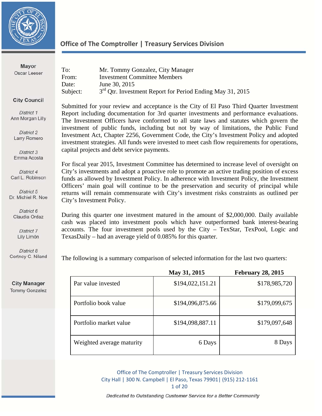

| <b>Mayor</b><br>Oscar Leeser | To:<br>From:<br>Date:<br>Subject: | Mr. Tommy Gonzalez, City Manager<br><b>Investment Committee Members</b><br>June 30, 2015<br>3 <sup>rd</sup> Otr. Investment Report for Period Ending May 31, 2015 |
|------------------------------|-----------------------------------|-------------------------------------------------------------------------------------------------------------------------------------------------------------------|
|                              |                                   |                                                                                                                                                                   |

**City Council** 

District 1 Ann Morgan Lilly

District 2 Larry Romero

District 3 Emma Acosta

District 4 Carl L. Robinson

District 5 Dr. Michiel R. Noe

District 6 Claudia Ordaz

> District 7 Lily Limón

District 8 Cortney C. Niland

**City Manager Tommy Gonzalez** 

Submitted for your review and acceptance is the City of El Paso Third Quarter Investment Report including documentation for 3rd quarter investments and performance evaluations. The Investment Officers have conformed to all state laws and statutes which govern the investment of public funds, including but not by way of limitations, the Public Fund Investment Act, Chapter 2256, Government Code, the City's Investment Policy and adopted investment strategies. All funds were invested to meet cash flow requirements for operations, capital projects and debt service payments.

For fiscal year 2015, Investment Committee has determined to increase level of oversight on City's investments and adopt a proactive role to promote an active trading position of excess funds as allowed by Investment Policy. In adherence with Investment Policy, the Investment Officers' main goal will continue to be the preservation and security of principal while returns will remain commensurate with City's investment risks constraints as outlined per City's Investment Policy.

During this quarter one investment matured in the amount of \$2,000,000. Daily available cash was placed into investment pools which have outperformed bank interest-bearing accounts. The four investment pools used by the City – TexStar, TexPool, Logic and TexasDaily – had an average yield of 0.085% for this quarter.

The following is a summary comparison of selected information for the last two quarters:

|                           | May 31, 2015     | <b>February 28, 2015</b> |
|---------------------------|------------------|--------------------------|
| Par value invested        | \$194,022,151.21 | \$178,985,720            |
| Portfolio book value      | \$194,096,875.66 | \$179,099,675            |
| Portfolio market value    | \$194,098,887.11 | \$179,097,648            |
| Weighted average maturity | 6 Days           | 8 Days                   |

Office of The Comptroller | Treasury Services Division City Hall | 300 N. Campbell | El Paso, Texas 79901| (915) 212-1161 1 of 20

Dedicated to Outstanding Customer Service for a Better Community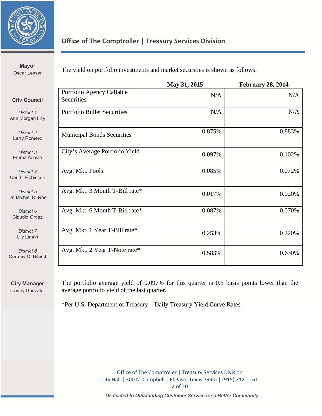

Mayor Oscar Leeser

The yield on portfolio investments and market securities is shown as follows:

|                                         | May 31, 2015 | <b>February 28, 2014</b> |
|-----------------------------------------|--------------|--------------------------|
| Portfolio Agency Callable<br>Securities | N/A          | N/A                      |
| <b>Portfolio Bullet Securities</b>      | N/A          | N/A                      |
| <b>Municipal Bonds Securities</b>       | 0.875%       | 0.883%                   |
| City's Average Portfolio Yield          | 0.097%       | 0.102%                   |
| Avg. Mkt. Pools                         | 0.085%       | 0.072%                   |
| Avg. Mkt. 3 Month T-Bill rate*          | 0.017%       | 0.020%                   |
| Avg. Mkt. 6 Month T-Bill rate*          | 0.087%       | 0.070%                   |
| Avg. Mkt. 1 Year T-Bill rate*           | 0.253%       | 0.220%                   |
| Avg. Mkt. 2 Year T-Note rate*           | 0.583%       | 0.630%                   |
|                                         |              |                          |

**City Manager** Tommy Gonzalez The portfolio average yield of 0.097% for this quarter is 0.5 basis points lower than the average portfolio yield of the last quarter.

\*Per U.S. Department of Treasury – Daily Treasury Yield Curve Rates

Office of The Comptroller | Treasury Services Division City Hall | 300 N. Campbell | El Paso, Texas 79901| (915) 212-1161 2 of 20

Dedicated to Outstanding Customer Service for a Better Community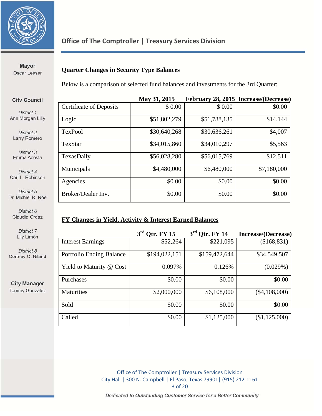

Oscar Leeser

#### **Quarter Changes in Security Type Balances**

Below is a comparison of selected fund balances and investments for the 3rd Quarter:

### **May 31, 2015 February 28, 2015 Increase/(Decrease)**  Certificate of Deposits  $\begin{array}{|c|c|c|c|c|c|c|c|c|} \hline \text{S 0.00} & \text{S 0.00} \hline \end{array}$  \$0.00 \$0.00 Logic \$51,802,279 \$51,788,135 \$14,144 TexPool \$30,640,268 \$30,636,261 \$4,007 TexStar \$34,015,860 \$34,010,297 \$5,563 TexasDaily **\$56,028,280** \$56,015,769 \$12,511 Municipals 1.480,000 \$4,480,000 \$6,480,000 \$7,180,000 Agencies \$0.00 \$0.00 \$0.00 \$0.00 \$0.00 Broker/Dealer Inv. 1 50.00 \$0.00 \$0.00 \$0.00 \$0.00

#### **FY Changes in Yield, Activity & Interest Earned Balances**

|                          | $3rd$ Qtr. FY 15 | $3rd$ Qtr. FY 14 | Increase/(Decrease) |
|--------------------------|------------------|------------------|---------------------|
| <b>Interest Earnings</b> | \$52,264         | \$221,095        | (\$168,831)         |
| Portfolio Ending Balance | \$194,022,151    | \$159,472,644    | \$34,549,507        |
| Yield to Maturity @ Cost | 0.097%           | 0.126%           | (0.029%)            |
| Purchases                | \$0.00           | \$0.00           | \$0.00              |
| <b>Maturities</b>        | \$2,000,000      | \$6,108,000      | $(\$4,108,000)$     |
| Sold                     | \$0.00           | \$0.00           | \$0.00              |
| Called                   | \$0.00           | \$1,125,000      | (\$1,125,000)       |

Office of The Comptroller | Treasury Services Division City Hall | 300 N. Campbell | El Paso, Texas 79901| (915) 212-1161 3 of 20

Dedicated to Outstanding Customer Service for a Better Community

**Mayor** 

#### **City Council**

District 1 Ann Morgan Lilly

District 2 Larry Romero

District 3 Emma Acosta

District 4 Carl L. Robinson

District 5 Dr. Michiel R. Noe

District 6 Claudia Ordaz

> District 7 Lily Limón

District 8 Cortney C. Niland

**City Manager Tommy Gonzalez**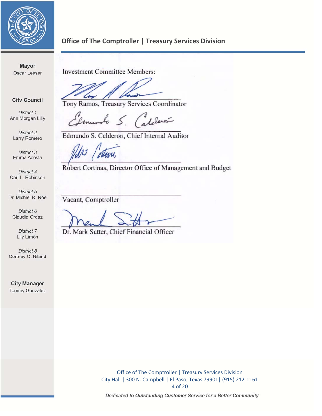

**Mayor** Oscar Leeser

Investment Committee Members:

Tony Ramos, Treasury Services Coordinator

**City Council** District 1 Ann Morgan Lilly

Imundo S. Calderon

District 2 Larry Romero

District 3 Emma Acosta

District 4 Carl L. Robinson

District 5 Dr. Michiel R. Noe

District 6 Claudia Ordaz

> District 7 Lily Limón

District 8 Cortney C. Niland

**City Manager Tommy Gonzalez**  Edmundo S. Calderon, Chief Internal Auditor

 $R_{\text{av}}$  Common

Robert Cortinas, Director Office of Management and Budget

Vacant, Comptroller

 $D \cap \mathcal{M}$ 

Dr. Mark Sutter, Chief Financial Officer

Office of The Comptroller | Treasury Services Division City Hall | 300 N. Campbell | El Paso, Texas 79901| (915) 212-1161 4 of 20

Dedicated to Outstanding Customer Service for a Better Community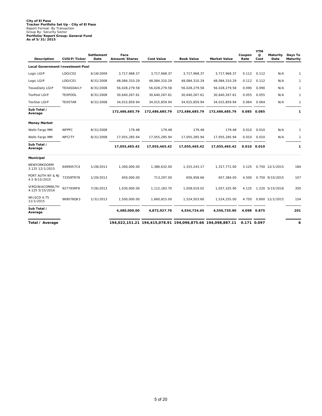# **City of El Paso Tracker Portfolio Set Up - City of El Paso** Report Format: By Transaction Group By: Security Sector **Portfolio/Report Group: General Fund As of 5/31/2015**

| Description                             | CUSIP/Ticker   | Settlement<br>Date | Face<br>Amount/Shares | <b>Cost Value</b>                                           | <b>Book Value</b> | <b>Market Value</b> | Coupon<br>Rate | <b>YTM</b><br>@<br>Cost | Maturity<br>Date | Days To<br>Maturity |
|-----------------------------------------|----------------|--------------------|-----------------------|-------------------------------------------------------------|-------------------|---------------------|----------------|-------------------------|------------------|---------------------|
| <b>Local Government Investment Pool</b> |                |                    |                       |                                                             |                   |                     |                |                         |                  |                     |
| Logic LGIP                              | LOGIC02        | 6/18/2009          | 3,717,968.37          | 3,717,968.37                                                | 3,717,968.37      | 3,717,968.37        | 0.112          | 0.112                   | N/A              | $\mathbf{1}$        |
| Logic LGIP                              | LOGIC01        | 8/31/2008          | 48,084,310.29         | 48,084,310.29                                               | 48,084,310.29     | 48,084,310.29       | 0.112          | 0.112                   | N/A              | 1                   |
| TexasDaily LGIP                         | TEXASDAILY     | 8/31/2008          | 56,028,279.58         | 56,028,279.58                                               | 56,028,279.58     | 56,028,279.58       | 0.090          | 0.090                   | N/A              | $\mathbf{1}$        |
| <b>TexPool LGIP</b>                     | <b>TEXPOOL</b> | 8/31/2008          | 30,640,267.61         | 30,640,267.61                                               | 30,640,267.61     | 30,640,267.61       | 0.055          | 0.055                   | N/A              | $\mathbf{1}$        |
| <b>TexStar LGIP</b>                     | <b>TEXSTAR</b> | 8/31/2008          | 34,015,859.94         | 34,015,859.94                                               | 34,015,859.94     | 34,015,859.94       | 0.064          | 0.064                   | N/A              | 1                   |
| Sub Total /<br>Average                  |                |                    | 172,486,685.79        | 172,486,685.79                                              | 172,486,685.79    | 172,486,685.79      |                | 0.085 0.085             |                  | 1                   |
| <b>Money Market</b>                     |                |                    |                       |                                                             |                   |                     |                |                         |                  |                     |
| Wells Fargo MM                          | <b>WFPFC</b>   | 8/31/2008          | 179.48                | 179.48                                                      | 179.48            | 179.48              | 0.010          | 0.010                   | N/A              | $\mathbf{1}$        |
| Wells Fargo MM                          | WFCITY         | 8/31/2008          | 17,055,285.94         | 17,055,285.94                                               | 17,055,285.94     | 17,055,285.94       | 0.010          | 0.010                   | N/A              | $\mathbf{1}$        |
| Sub Total /<br>Average                  |                |                    | 17,055,465.42         | 17,055,465.42                                               | 17,055,465.42     | 17,055,465.42       |                | $0.010$ $0.010$         |                  | $\mathbf{1}$        |
| Municipal                               |                |                    |                       |                                                             |                   |                     |                |                         |                  |                     |
| NEWYORKDORM<br>3.125 12/1/2015          | 6499057C4      | 1/28/2013          | 1,300,000.00          | 1,386,632.00                                                | 1,315,243.17      | 1,317,771.00        | 3.125          |                         | 0.750 12/1/2015  | 184                 |
| PORT AUTH NY & NJ<br>4.5 9/15/2015      | 73358TR78      | 1/29/2013          | 650,000.00            | 713,297.00                                                  | 656,958.66        | 657,384.00          | 4.500          |                         | 0.750 9/15/2015  | 107                 |
| VIRGINIACOMWLTH<br>4.125 5/15/2016      | 927793RF8      | 7/26/2013          | 1,030,000.00          | 1,112,183.70                                                | 1,058,019.02      | 1,057,325.90        | 4.125          |                         | 1.220 5/15/2016  | 350                 |
| WILSCD 4.75<br>11/1/2015                | 969078QK3      | 1/31/2013          | 1,500,000.00          | 1,660,815.00                                                | 1,524,503.60      | 1,524,255.00        | 4.750          |                         | 0.800 11/1/2015  | 154                 |
| Sub Total /<br>Average                  |                |                    | 4,480,000.00          | 4,872,927.70                                                | 4,554,724.45      | 4,556,735.90        |                | 4.098 0.875             |                  | 201                 |
| Total / Average                         |                |                    |                       | 194,022,151.21 194,415,078.91 194,096,875.66 194,098,887.11 |                   |                     | 0.171 0.097    |                         |                  | 6                   |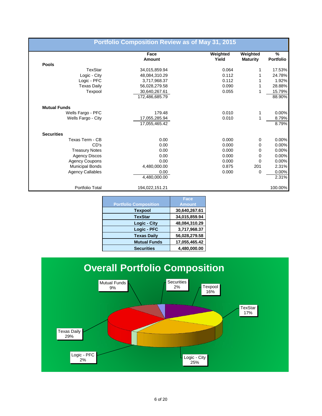|                         | Face<br>Amount | Weighted<br>Yield | Weighted<br><b>Maturity</b> | $\frac{9}{6}$<br><b>Portfolio</b> |
|-------------------------|----------------|-------------------|-----------------------------|-----------------------------------|
| Pools                   |                |                   |                             |                                   |
| TexStar                 | 34,015,859.94  | 0.064             | 1                           | 17.53%                            |
| Logic - City            | 48,084,310.29  | 0.112             | $\mathbf{1}$                | 24.78%                            |
| Logic - PFC             | 3,717,968.37   | 0.112             |                             | 1.92%                             |
| <b>Texas Daily</b>      | 56,028,279.58  | 0.090             | 1                           | 28.88%                            |
| Texpool                 | 30,640,267.61  | 0.055             | 1                           | 15.79%                            |
|                         | 172,486,685.79 |                   |                             | 88.90%                            |
| <b>Mutual Funds</b>     |                |                   |                             |                                   |
| Wells Fargo - PFC       | 179.48         | 0.010             | 1                           | $0.00\%$                          |
| Wells Fargo - City      | 17,055,285.94  | 0.010             | 1                           | 8.79%                             |
|                         | 17,055,465.42  |                   |                             | 8.79%                             |
| <b>Securities</b>       |                |                   |                             |                                   |
| Texas Term - CB         | 0.00           | 0.000             | 0                           | 0.00%                             |
| CD's                    | 0.00           | 0.000             | 0                           | $0.00\%$                          |
| <b>Treasury Notes</b>   | 0.00           | 0.000             | 0                           | $0.00\%$                          |
| <b>Agency Discos</b>    | 0.00           | 0.000             | 0                           | $0.00\%$                          |
| <b>Agency Coupons</b>   | 0.00           | 0.000             | $\mathbf 0$                 | 0.00%                             |
| <b>Municipal Bonds</b>  | 4,480,000.00   | 0.875             | 201                         | 2.31%                             |
| <b>Agency Callables</b> | 0.00           | 0.000             | 0                           | 0.00%                             |
|                         | 4,480,000.00   |                   |                             | 2.31%                             |
| Portfolio Total         | 194,022,151.21 |                   |                             | 100.00%                           |

| Face          |
|---------------|
| <b>Amount</b> |
| 30,640,267.61 |
| 34,015,859.94 |
| 48,084,310.29 |
| 3,717,968.37  |
| 56,028,279.58 |
| 17,055,465.42 |
| 4,480,000.00  |
|               |

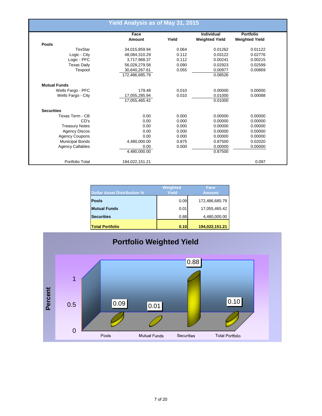|                         | <b>Yield Analysis as of May 31, 2015</b> |       |                       |                       |
|-------------------------|------------------------------------------|-------|-----------------------|-----------------------|
|                         | Face                                     |       | <b>Individual</b>     | <b>Portfolio</b>      |
| <b>Pools</b>            | Amount                                   | Yield | <b>Weighted Yield</b> | <b>Weighted Yield</b> |
| TexStar                 |                                          |       |                       |                       |
|                         | 34,015,859.94                            | 0.064 | 0.01262               | 0.01122               |
| Logic - City            | 48,084,310.29                            | 0.112 | 0.03122               | 0.02776               |
| Logic - PFC             | 3,717,968.37                             | 0.112 | 0.00241               | 0.00215               |
| <b>Texas Daily</b>      | 56,028,279.58                            | 0.090 | 0.02923               | 0.02599               |
| Texpool                 | 30,640,267.61                            | 0.055 | 0.00977               | 0.00869               |
|                         | 172,486,685.79                           |       | 0.08526               |                       |
| <b>Mutual Funds</b>     |                                          |       |                       |                       |
| Wells Fargo - PFC       | 179.48                                   | 0.010 | 0.00000               | 0.00000               |
| Wells Fargo - City      | 17,055,285.94                            | 0.010 | 0.01000               | 0.00088               |
|                         | 17,055,465.42                            |       | 0.01000               |                       |
| <b>Securities</b>       |                                          |       |                       |                       |
| Texas Term - CB         | 0.00                                     | 0.000 | 0.00000               | 0.00000               |
| CD's                    | 0.00                                     | 0.000 | 0.00000               | 0.00000               |
| <b>Treasury Notes</b>   | 0.00                                     | 0.000 | 0.00000               | 0.00000               |
| <b>Agency Discos</b>    | 0.00                                     | 0.000 | 0.00000               | 0.00000               |
| <b>Agency Coupons</b>   | 0.00                                     | 0.000 | 0.00000               | 0.00000               |
| <b>Municipal Bonds</b>  | 4,480,000.00                             | 0.875 | 0.87500               | 0.02020               |
| <b>Agency Callables</b> | 0.00                                     | 0.000 | 0.00000               | 0.00000               |
|                         | 4,480,000.00                             |       | 0.87500               |                       |
|                         |                                          |       |                       |                       |
| Portfolio Total         | 194,022,151.21                           |       |                       | 0.097                 |

| <b>Dollar Asset Distribution %</b> | Weighted<br>Yield | Face<br><b>Amount</b> |
|------------------------------------|-------------------|-----------------------|
| <b>Pools</b>                       | 0.09              | 172,486,685.79        |
| <b>Mutual Funds</b>                | 0.01              | 17,055,465.42         |
| <b>Securities</b>                  | 0.88              | 4,480,000.00          |
| <b>Total Portfolio</b>             | 0.10              | 194,022,151.21        |

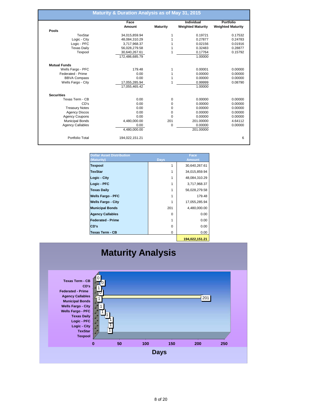|                         | Face           |                 | Individual               | Portfolio                |
|-------------------------|----------------|-----------------|--------------------------|--------------------------|
|                         | Amount         | <b>Maturity</b> | <b>Weighted Maturity</b> | <b>Weighted Maturity</b> |
| Pools                   |                |                 |                          |                          |
| <b>TexStar</b>          | 34,015,859.94  | 1               | 0.19721                  | 0.17532                  |
| Logic - City            | 48,084,310.29  |                 | 0.27877                  | 0.24783                  |
| Logic - PFC             | 3,717,968.37   |                 | 0.02156                  | 0.01916                  |
| <b>Texas Daily</b>      | 56,028,279.58  |                 | 0.32483                  | 0.28877                  |
| Texpool                 | 30,640,267.61  |                 | 0.17764                  | 0.15792                  |
|                         | 172,486,685.79 |                 | 1.00000                  |                          |
| <b>Mutual Funds</b>     |                |                 |                          |                          |
| Wells Fargo - PFC       | 179.48         | 1               | 0.00001                  | 0.00000                  |
| Federated - Prime       | 0.00           |                 | 0.00000                  | 0.00000                  |
| <b>BBVA Compass</b>     | 0.00           |                 | 0.00000                  | 0.00000                  |
| Wells Fargo - City      | 17,055,285.94  | 1               | 0.99999                  | 0.08790                  |
|                         | 17.055.465.42  |                 | 1.00000                  |                          |
| <b>Securities</b>       |                |                 |                          |                          |
| Texas Term - CB         | 0.00           | 0               | 0.00000                  | 0.00000                  |
| CD's                    | 0.00           | 0               | 0.00000                  | 0.00000                  |
| <b>Treasury Notes</b>   | 0.00           | 0               | 0.00000                  | 0.00000                  |
| <b>Agency Discos</b>    | 0.00           | 0               | 0.00000                  | 0.00000                  |
| <b>Agency Coupons</b>   | 0.00           | $\Omega$        | 0.00000                  | 0.00000                  |
| <b>Municipal Bonds</b>  | 4,480,000.00   | 201             | 201.00000                | 4.64112                  |
| <b>Agency Callables</b> | 0.00           | 0               | 0.00000                  | 0.00000                  |
|                         | 4,480,000.00   |                 | 201.00000                |                          |
| Portfolio Total         | 194,022,151.21 |                 |                          |                          |

| <b>Dollar Asset Distribution</b><br>(Maturity) | <b>Days</b> | Face<br><b>Amount</b> |
|------------------------------------------------|-------------|-----------------------|
| <b>Texpool</b>                                 | 1           | 30,640,267.61         |
| <b>TexStar</b>                                 |             | 34,015,859.94         |
| Logic - City                                   |             | 48,084,310.29         |
| Logic - PFC                                    |             | 3,717,968.37          |
| <b>Texas Daily</b>                             | 1           | 56,028,279.58         |
| <b>Wells Fargo - PFC</b>                       |             | 179.48                |
| <b>Wells Fargo - City</b>                      |             | 17,055,285.94         |
| <b>Municipal Bonds</b>                         | 201         | 4,480,000.00          |
| <b>Agency Callables</b>                        | 0           | 0.00                  |
| <b>Federated - Prime</b>                       |             | 0.00                  |
| CD's                                           | 0           | 0.00                  |
| <b>Texas Term - CB</b>                         | 0           | 0.00                  |
|                                                |             | 404.099.4E4.94        |

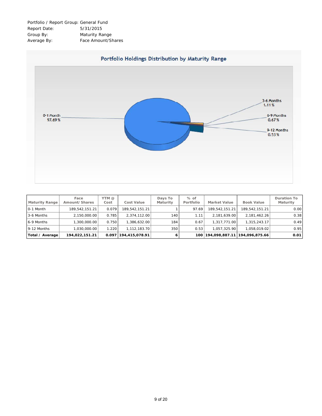| Portfolio / Report Group: General Fund |                    |
|----------------------------------------|--------------------|
| Report Date:                           | 5/31/2015          |
| Group By:                              | Maturity Range     |
| Average By:                            | Face Amount/Shares |



| <b>Maturity Range</b> | Face<br>Amount/Shares | YTM @<br>Cost | Cost Value           | Days To<br>Maturity | $%$ of<br>Portfolio | <b>Market Value</b> | Book Value                      | Duration To<br>Maturity |
|-----------------------|-----------------------|---------------|----------------------|---------------------|---------------------|---------------------|---------------------------------|-------------------------|
| 0-1 Month             | 189.542.151.21        | 0.079         | 189.542.151.21       |                     | 97.69               | 189.542.151.21      | 189.542.151.21                  | 0.00                    |
| 3-6 Months            | 2.150.000.00          | 0.785         | 2.374.112.00         | 140                 | 1.11                | 2.181.639.00        | 2,181,462.26                    | 0.38                    |
| 6-9 Months            | 1.300.000.00          | 0.750         | 1.386.632.00         | 184                 | 0.67                | 1.317.771.00        | 1.315.243.17                    | 0.49                    |
| 9-12 Months           | 1.030.000.00          | 1.220         | 1.112.183.70         | 350                 | 0.53                | 1.057.325.90        | 1.058.019.02                    | 0.95                    |
| Total / Average       | 194,022,151.21        |               | 0.097 194,415,078.91 | 6                   | 100                 |                     | 194,098,887.11   194,096,875.66 | 0.01                    |

9 of 20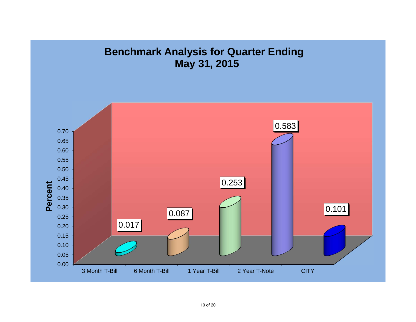# **Benchmark Analysis for Quarter Ending May 31, 2015**

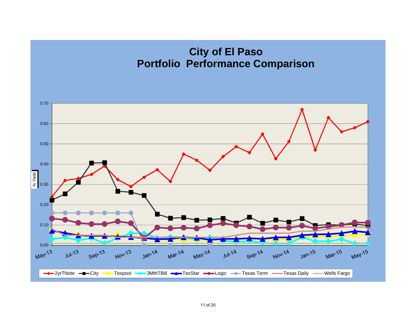## **City of El Paso Portfolio Performance Comparison**

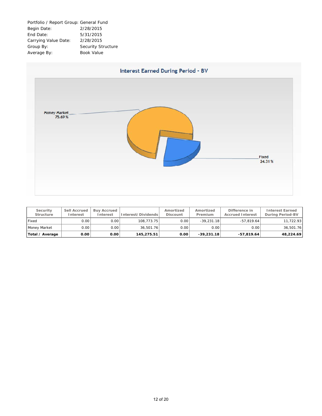



| Security<br>Structure | Sell Accrued<br>Interest | <b>Buv Accrued</b><br>Interest | Interest/Dividends | Amortized<br>Discount | Amortized<br>Premium | Difference in<br><b>Accrued Interest</b> | <b>Interest Earned</b><br>During Period-BV |
|-----------------------|--------------------------|--------------------------------|--------------------|-----------------------|----------------------|------------------------------------------|--------------------------------------------|
| Fixed                 | 0.00                     | 0.00                           | 108.773.75         | 0.00                  | $-39,231.18$         | $-57.819.64$                             | 11,722.93                                  |
| Money Market          | 0.001                    | 0.00                           | 36.501.76          | 0.00                  | 0.00                 | 0.00                                     | 36.501.76                                  |
| Total / Average       | 0.00                     | 0.00                           | 145.275.51         | 0.00                  | $-39.231.18$         | $-57.819.64$                             | 48,224.69                                  |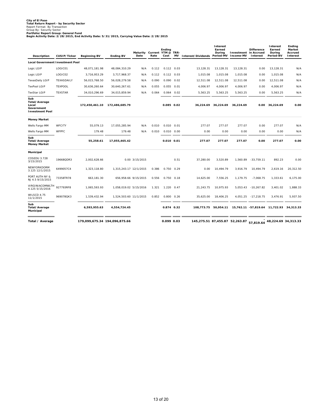City of El Paso<br>Total Return Report - by Security Sector<br>Report Format: By Transaction<br>Portfolio/Report Group: General Fund<br>Pegin Activity Date: 2/28/2015, End Activity Date: 5/31/2015, Carrying Value Date: 2/28/2015<br>Begin

| Description                                                           | CUSIP/Ticker   | <b>Beginning BV</b>           | <b>Ending BV</b>       | Maturity Current YTM @ TRR-<br>Date | Rate  | Ending<br>Cost | <b>MV</b> | Interest/Dividends Period-MV                                 | Interest<br>Earned<br>During | Investment in Accrued<br>Income-MV | <b>Difference</b><br>Interest            | Interest<br>Earned<br>During<br>Period-BV | Ending<br>Market<br>Accrued<br>Interest |
|-----------------------------------------------------------------------|----------------|-------------------------------|------------------------|-------------------------------------|-------|----------------|-----------|--------------------------------------------------------------|------------------------------|------------------------------------|------------------------------------------|-------------------------------------------|-----------------------------------------|
| <b>Local Government Investment Pool</b>                               |                |                               |                        |                                     |       |                |           |                                                              |                              |                                    |                                          |                                           |                                         |
| Logic LGIP                                                            | LOGIC01        | 48,071,181.98                 | 48,084,310.29          | N/A                                 | 0.112 | $0.112$ $0.03$ |           | 13,128.31                                                    | 13,128.31                    | 13,128.31                          | 0.00                                     | 13,128.31                                 | N/A                                     |
| Logic LGIP                                                            | LOGIC02        | 3,716,953.29                  | 3,717,968.37           | N/A                                 | 0.112 | $0.112$ $0.03$ |           | 1,015.08                                                     | 1,015.08                     | 1,015.08                           | 0.00                                     | 1,015.08                                  | N/A                                     |
| <b>TexasDaily LGIP</b>                                                | TEXASDAILY     | 56,015,768.50                 | 56,028,279.58          | N/A                                 | 0.090 | 0.090          | 0.02      | 12,511.08                                                    | 12,511.08                    | 12,511.08                          | 0.00                                     | 12,511.08                                 | N/A                                     |
| <b>TexPool LGIP</b>                                                   | <b>TEXPOOL</b> | 30,636,260.64                 | 30.640.267.61          | N/A                                 | 0.055 | 0.055          | 0.01      | 4.006.97                                                     | 4.006.97                     | 4.006.97                           | 0.00                                     | 4.006.97                                  | N/A                                     |
| <b>TexStar LGIP</b>                                                   | <b>TEXSTAR</b> | 34,010,296.69                 | 34,015,859.94          | N/A                                 | 0.064 | $0.064$ 0.02   |           | 5,563.25                                                     | 5,563.25                     | 5,563.25                           | 0.00                                     | 5,563.25                                  | N/A                                     |
| Sub<br>Total/Average<br>Local<br>Government<br><b>Investment Pool</b> |                | 172,450,461.10                | 172,486,685.79         |                                     |       | 0.085 0.02     |           | 36,224.69                                                    | 36,224.69                    | 36,224.69                          |                                          | 0.00 36,224.69                            | 0.00                                    |
| <b>Money Market</b>                                                   |                |                               |                        |                                     |       |                |           |                                                              |                              |                                    |                                          |                                           |                                         |
| Wells Fargo MM                                                        | WFCITY         | 55,079.13                     | 17,055,285.94          | N/A                                 | 0.010 | 0.010          | 0.01      | 277.07                                                       | 277.07                       | 277.07                             | 0.00                                     | 277.07                                    | N/A                                     |
| Wells Fargo MM                                                        | <b>WFPFC</b>   | 179.48                        | 179.48                 | N/A                                 | 0.010 | $0.010$ $0.00$ |           | 0.00                                                         | 0.00                         | 0.00                               | 0.00                                     | 0.00                                      | N/A                                     |
| Sub<br>Total/Average<br>Money Market                                  |                | 55,258.61                     | 17,055,465.42          |                                     |       | $0.010$ $0.01$ |           | 277.07                                                       | 277.07                       | 277.07                             | 0.00                                     | 277.07                                    | 0.00                                    |
| Municipal                                                             |                |                               |                        |                                     |       |                |           |                                                              |                              |                                    |                                          |                                           |                                         |
| COSEDU 3.728<br>3/15/2015                                             | 19668QDR3      | 2.002.628.66                  |                        | 0.00 3/15/2015                      |       |                | 0.51      | 37.280.00                                                    | 3.520.89                     | 1.560.89                           | $-33.759.11$                             | 892.23                                    | 0.00                                    |
| NEWYORKDORM<br>3.125 12/1/2015                                        | 6499057C4      | 1,323,118.80                  | 1,315,243.17 12/1/2015 |                                     | 0.386 | 0.750          | 0.29      | 0.00                                                         | 10,494.79                    | 3,916.79                           | 10,494.79                                | 2,619.16                                  | 20,312.50                               |
| PORT AUTH NY &<br>NJ 4.5 9/15/2015                                    | 73358TR78      | 663,181.30                    | 656,958.66 9/15/2015   |                                     | 0.556 | $0.750$ $0.18$ |           | 14,625.00                                                    | 7,556.25                     | 1,179.75                           | $-7,068.75$                              | 1,333.61                                  | 6,175.00                                |
| VIRGINIACOMWLTH<br>4.125 5/15/2016                                    | 927793RF8      | 1,065,593.93                  | 1,058,019.02 5/15/2016 |                                     | 1.321 | 1.220 0.47     |           | 21,243.75                                                    | 10,975.93                    | 5,053.43                           | $-10,267.82$                             | 3,401.02                                  | 1,888.33                                |
| WILSCD 4.75<br>11/1/2015                                              | 969078QK3      | 1,539,432.94                  | 1,524,503.60 11/1/2015 |                                     | 0.852 | $0.800$ $0.26$ |           | 35,625.00                                                    | 18,406.25                    | 4,051.25                           | $-17,218.75$                             | 3,476.91                                  | 5,937.50                                |
| Sub<br>Total/Average<br>Municipal                                     |                | 6,593,955.63                  | 4,554,724.45           |                                     |       | 0.874 0.32     |           | 108,773.75                                                   | 50,954.11                    |                                    | 15,762.11 -57,819.64 11,722.93 34,313.33 |                                           |                                         |
| Total / Average                                                       |                | 179,099,675.34 194,096,875.66 |                        |                                     |       | 0.099 0.03     |           | 145,275.51 87,455.87 52,263.87 57,819.64 48,224.69 34,313.33 |                              |                                    |                                          |                                           |                                         |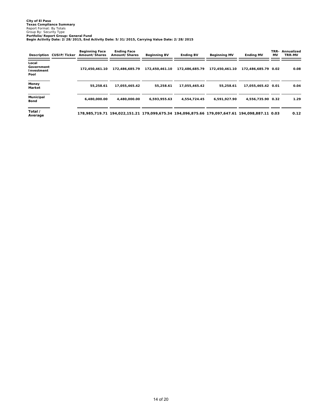|                                           | Description CUSIP/Ticker | <b>Beginning Face</b><br>Amount/Shares | <b>Ending Face</b><br>Amount/Shares | <b>Beginning BV</b>                                                                            | <b>Ending BV</b> | <b>Beginning MV</b> | <b>Ending MV</b>    | MV | TRR- Annualized<br>TRR-MV |
|-------------------------------------------|--------------------------|----------------------------------------|-------------------------------------|------------------------------------------------------------------------------------------------|------------------|---------------------|---------------------|----|---------------------------|
| Local<br>Government<br>Investment<br>Pool |                          | 172.450.461.10                         | 172,486,685.79                      | 172.450.461.10                                                                                 | 172.486.685.79   | 172.450.461.10      | 172.486.685.79 0.02 |    | 0.08                      |
| Money<br>Market                           |                          | 55.258.61                              | 17.055.465.42                       | 55.258.61                                                                                      | 17,055,465.42    | 55.258.61           | 17,055,465.42 0.01  |    | 0.04                      |
| Municipal<br>Bond                         |                          | 6,480,000.00                           | 4.480.000.00                        | 6,593,955.63                                                                                   | 4,554,724.45     | 6,591,927.90        | 4,556,735.90 0.32   |    | 1.29                      |
| Total /<br>Average                        |                          |                                        |                                     | 178,985,719.71 194,022,151.21 179,099,675.34 194,096,875.66 179,097,647.61 194,098,887.11 0.03 |                  |                     |                     |    | 0.12                      |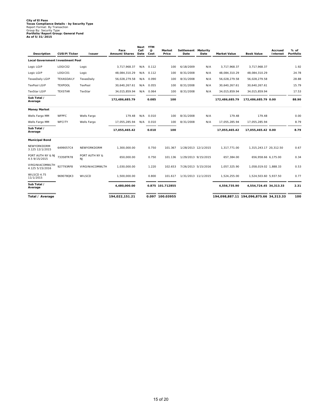# **City of El Paso Texas Compliance Details - by Security Type** Report Format: By Transaction Group By: Security Type **Portfolio/Report Group: General Fund As of 5/31/2015**

| Description                        | CUSIP/Ticker   | <b>Issuer</b>               | Face<br>Amount/Shares | Next<br>Call<br>Date | <b>YTM</b><br>@<br>Cost | Market<br>Price  | Settlement Maturity<br>Date | Date                | <b>Market Value</b> | <b>Book Value</b>                       | Accrued<br>Interest | $%$ of<br>Portfolio |
|------------------------------------|----------------|-----------------------------|-----------------------|----------------------|-------------------------|------------------|-----------------------------|---------------------|---------------------|-----------------------------------------|---------------------|---------------------|
| Local Government Investment Pool   |                |                             |                       |                      |                         |                  |                             |                     |                     |                                         |                     |                     |
| Logic LGIP                         | LOGIC02        | Logic                       | 3,717,968.37          | N/A                  | 0.112                   | 100              | 6/18/2009                   | N/A                 | 3,717,968.37        | 3,717,968.37                            |                     | 1.92                |
| Logic LGIP                         | LOGIC01        | Logic                       | 48,084,310.29         | N/A                  | 0.112                   | 100              | 8/31/2008                   | N/A                 | 48,084,310.29       | 48,084,310.29                           |                     | 24.78               |
| TexasDaily LGIP                    | TEXASDAILY     | TexasDaily                  | 56,028,279.58         | N/A                  | 0.090                   | 100              | 8/31/2008                   | N/A                 | 56,028,279.58       | 56,028,279.58                           |                     | 28.88               |
| <b>TexPool LGIP</b>                | <b>TEXPOOL</b> | TexPool                     | 30,640,267.61         | N/A                  | 0.055                   | 100              | 8/31/2008                   | N/A                 | 30,640,267.61       | 30,640,267.61                           |                     | 15.79               |
| <b>TexStar LGIP</b>                | <b>TEXSTAR</b> | TexStar                     | 34,015,859.94         | N/A                  | 0.064                   | 100              | 8/31/2008                   | N/A                 | 34,015,859.94       | 34,015,859.94                           |                     | 17.53               |
| Sub Total /<br>Average             |                |                             | 172,486,685.79        |                      | 0.085                   | 100              |                             |                     | 172.486.685.79      | 172.486.685.79 0.00                     |                     | 88.90               |
| <b>Money Market</b>                |                |                             |                       |                      |                         |                  |                             |                     |                     |                                         |                     |                     |
| Wells Fargo MM                     | <b>WFPFC</b>   | Wells Fargo                 | 179.48                | N/A                  | 0.010                   | 100              | 8/31/2008                   | N/A                 | 179.48              | 179.48                                  |                     | 0.00                |
| Wells Fargo MM                     | WFCITY         | Wells Fargo                 | 17,055,285.94         | N/A                  | 0.010                   | 100              | 8/31/2008                   | N/A                 | 17,055,285.94       | 17,055,285.94                           |                     | 8.79                |
| Sub Total /<br>Average             |                |                             | 17,055,465.42         |                      | 0.010                   | 100              |                             |                     | 17,055,465.42       | 17,055,465.42 0.00                      |                     | 8.79                |
| <b>Municipal Bond</b>              |                |                             |                       |                      |                         |                  |                             |                     |                     |                                         |                     |                     |
| NEWYORKDORM<br>3.125 12/1/2015     | 6499057C4      | NEWYORKDORM                 | 1,300,000.00          |                      | 0.750                   | 101.367          |                             | 1/28/2013 12/1/2015 | 1,317,771.00        | 1,315,243.17 20,312.50                  |                     | 0.67                |
| PORT AUTH NY & NJ<br>4.5 9/15/2015 | 73358TR78      | PORT AUTH NY &<br><b>NJ</b> | 650,000.00            |                      | 0.750                   | 101.136          | 1/29/2013 9/15/2015         |                     | 657,384.00          | 656,958.66 6,175.00                     |                     | 0.34                |
| VIRGINIACOMWLTH<br>4.125 5/15/2016 | 927793RF8      | VIRGINIACOMWLTH             | 1,030,000.00          |                      | 1.220                   | 102.653          | 7/26/2013 5/15/2016         |                     | 1,057,325.90        | 1,058,019.02 1,888.33                   |                     | 0.53                |
| WILSCD 4.75<br>11/1/2015           | 969078QK3      | WILSCD                      | 1,500,000.00          |                      | 0.800                   | 101.617          | 1/31/2013 11/1/2015         |                     | 1,524,255.00        | 1,524,503.60 5,937.50                   |                     | 0.77                |
| Sub Total /<br>Average             |                |                             | 4,480,000.00          |                      |                         | 0.875 101.712855 |                             |                     | 4,556,735.90        | 4,554,724.45 34,313.33                  |                     | 2.31                |
| Total / Average                    |                |                             | 194,022,151.21        |                      |                         | 0.097 100.03955  |                             |                     |                     | 194,098,887.11 194,096,875.66 34,313.33 |                     | 100                 |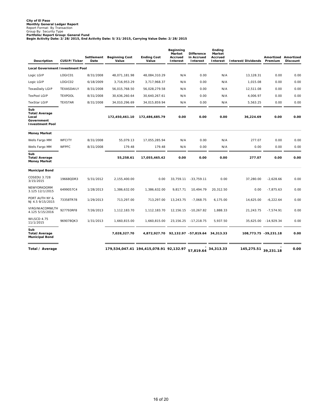# City of El Paso<br>Monthly General Ledger Report<br>Report Format: By Transaction<br>Portfolio/Report Group: General Fund<br>Portfolio/Report Group: General Fund<br>Begin Activity Date: 2/28/2015, End Activity Date: 5/31/2015, Carrying V

| Description                                                           | CUSIP/Ticker   | Settlement<br>Date | <b>Beginning Cost</b><br>Value | <b>Ending Cost</b><br>Value             | Beginning<br>Market<br>Accrued<br>Interest | <b>Difference</b><br>in Accrued<br>Interest | Ending<br>Market<br>Accrued<br>Interest | Interest/Dividends | Amortized Amortized<br>Premium | <b>Discount</b> |
|-----------------------------------------------------------------------|----------------|--------------------|--------------------------------|-----------------------------------------|--------------------------------------------|---------------------------------------------|-----------------------------------------|--------------------|--------------------------------|-----------------|
| <b>Local Government Investment Pool</b>                               |                |                    |                                |                                         |                                            |                                             |                                         |                    |                                |                 |
| Logic LGIP                                                            | LOGIC01        | 8/31/2008          | 48,071,181.98                  | 48,084,310.29                           | N/A                                        | 0.00                                        | N/A                                     | 13,128.31          | 0.00                           | 0.00            |
| Logic LGIP                                                            | LOGIC02        | 6/18/2009          | 3,716,953.29                   | 3,717,968.37                            | N/A                                        | 0.00                                        | N/A                                     | 1,015.08           | 0.00                           | 0.00            |
| TexasDaily LGIP                                                       | TEXASDAILY     | 8/31/2008          | 56,015,768.50                  | 56,028,279.58                           | N/A                                        | 0.00                                        | N/A                                     | 12,511.08          | 0.00                           | 0.00            |
| <b>TexPool LGIP</b>                                                   | <b>TEXPOOL</b> | 8/31/2008          | 30,636,260.64                  | 30,640,267.61                           | N/A                                        | 0.00                                        | N/A                                     | 4,006.97           | 0.00                           | 0.00            |
| <b>TexStar LGIP</b>                                                   | <b>TEXSTAR</b> | 8/31/2008          | 34,010,296.69                  | 34,015,859.94                           | N/A                                        | 0.00                                        | N/A                                     | 5,563.25           | 0.00                           | 0.00            |
| Sub<br>Total/Average<br>Local<br>Government<br><b>Investment Pool</b> |                |                    | 172,450,461.10                 | 172,486,685.79                          | 0.00                                       | 0.00                                        | 0.00                                    | 36,224.69          | 0.00                           | 0.00            |
| <b>Money Market</b>                                                   |                |                    |                                |                                         |                                            |                                             |                                         |                    |                                |                 |
| Wells Fargo MM                                                        | <b>WFCITY</b>  | 8/31/2008          | 55,079.13                      | 17,055,285.94                           | N/A                                        | 0.00                                        | N/A                                     | 277.07             | 0.00                           | 0.00            |
| Wells Fargo MM                                                        | <b>WFPFC</b>   | 8/31/2008          | 179.48                         | 179.48                                  | N/A                                        | 0.00                                        | N/A                                     | 0.00               | 0.00                           | 0.00            |
| Sub<br>Total/Average<br><b>Money Market</b>                           |                |                    | 55,258.61                      | 17,055,465.42                           | 0.00                                       | 0.00                                        | 0.00                                    | 277.07             | 0.00                           | 0.00            |
| <b>Municipal Bond</b>                                                 |                |                    |                                |                                         |                                            |                                             |                                         |                    |                                |                 |
| COSEDU 3.728<br>3/15/2015                                             | 19668QDR3      | 5/31/2012          | 2,155,400.00                   | 0.00                                    | 33,759.11                                  | $-33,759.11$                                | 0.00                                    | 37,280.00          | $-2,628.66$                    | 0.00            |
| NEWYORKDORM<br>3.125 12/1/2015                                        | 6499057C4      | 1/28/2013          | 1,386,632.00                   | 1,386,632.00                            | 9,817.71                                   | 10,494.79                                   | 20,312.50                               | 0.00               | $-7,875.63$                    | 0.00            |
| PORT AUTH NY &<br>NJ 4.5 9/15/2015                                    | 73358TR78      | 1/29/2013          | 713,297.00                     | 713,297.00                              | 13,243.75                                  | $-7,068.75$                                 | 6,175.00                                | 14,625.00          | $-6,222.64$                    | 0.00            |
| VIRGINIACOMWLTH<br>4.125 5/15/2016                                    | 927793RF8      | 7/26/2013          | 1,112,183.70                   | 1,112,183.70                            | 12,156.15                                  | $-10,267.82$                                | 1,888.33                                | 21,243.75          | $-7,574.91$                    | 0.00            |
| WILSCD 4.75<br>11/1/2015                                              | 969078QK3      | 1/31/2013          | 1,660,815.00                   | 1,660,815.00                            | 23,156.25                                  | $-17,218.75$                                | 5,937.50                                | 35,625.00          | $-14,929.34$                   | 0.00            |
| Sub<br>Total/Average<br><b>Municipal Bond</b>                         |                |                    | 7,028,327.70                   | 4,872,927.70                            |                                            | 92,132.97 -57,819.64                        | 34,313.33                               |                    | 108,773.75 -39,231.18          | 0.00            |
| Total / Average                                                       |                |                    |                                | 179,534,047.41 194,415,078.91 92,132.97 |                                            | 57.819.64                                   | 34,313.33                               | 145,275.51         | 39,231.18                      | 0.00            |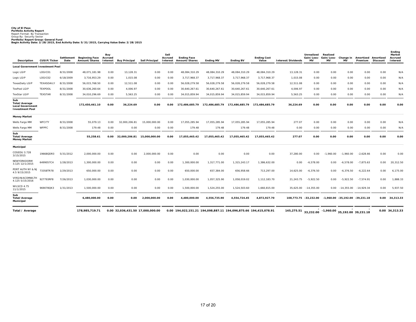City of El Paso<br>Portfolio Activity Report<br>Report Format: By Transaction<br>Portfolio/Report Group: General Fund<br>Portfolio/Report Group: General Fund<br>Begin Activity Date: 2/28/2015, End Activity Date: 5/31/2015, Carrying Value

| Description                                                               | CUSI P/Ticker     | Settlement<br>Date | <b>Beginning Face</b><br>Amount/Shares Interest | Buy<br>Accrued | <b>Buy Principal</b>             | Sell Principal | Sell<br>Accrued<br>Interest | <b>Ending Face</b><br>Amount/Shares                              | <b>Ending MV</b> | <b>Ending BV</b>                                                     | <b>Ending Cost</b><br>Value | Interest/Dividends                                 | Unrealized<br>Gain/Loss-<br><b>MV</b> | Realized<br>Gain/Loss-<br><b>MV</b> | Change in<br><b>MV</b> | Amortized Amortized<br>Premium | Discount | Ending<br>Market<br>Accrued<br>Interest |
|---------------------------------------------------------------------------|-------------------|--------------------|-------------------------------------------------|----------------|----------------------------------|----------------|-----------------------------|------------------------------------------------------------------|------------------|----------------------------------------------------------------------|-----------------------------|----------------------------------------------------|---------------------------------------|-------------------------------------|------------------------|--------------------------------|----------|-----------------------------------------|
| <b>Local Government Investment Pool</b>                                   |                   |                    |                                                 |                |                                  |                |                             |                                                                  |                  |                                                                      |                             |                                                    |                                       |                                     |                        |                                |          |                                         |
| Logic LGIP                                                                | LOGIC01           | 8/31/2008          | 48,071,181.98                                   | 0.00           | 13,128.31                        | 0.00           | 0.00                        | 48,084,310.29                                                    | 48,084,310.29    | 48,084,310.29                                                        | 48,084,310.29               | 13,128.31                                          | 0.00                                  | 0.00                                | 0.00                   | 0.00                           | 0.00     | N/A                                     |
| Logic LGIP                                                                | LOGIC02           | 6/18/2009          | 3,716,953.29                                    | 0.00           | 1.015.08                         | 0.00           | 0.00                        | 3.717.968.37                                                     | 3,717,968.37     | 3.717.968.37                                                         | 3.717.968.37                | 1,015.08                                           | 0.00                                  | 0.00                                | 0.00                   | 0.00                           | 0.00     | N/A                                     |
| <b>TexasDaily LGIP</b>                                                    | <b>TEXASDAILY</b> | 8/31/2008          | 56,015,768.50                                   | 0.00           | 12.511.08                        | 0.00           | 0.00                        | 56,028,279.58                                                    | 56,028,279.58    | 56,028,279.58                                                        | 56.028.279.58               | 12.511.08                                          | 0.00                                  | 0.00                                | 0.00                   | 0.00                           | 0.00     | N/A                                     |
| <b>TexPool LGIP</b>                                                       | <b>TEXPOOL</b>    | 8/31/2008          | 30,636,260.64                                   | 0.00           | 4.006.97                         | 0.00           | 0.00                        | 30,640,267.61                                                    | 30,640,267.61    | 30,640,267.61                                                        | 30,640,267.61               | 4,006.97                                           | 0.00                                  | 0.00                                | 0.00                   | 0.00                           | 0.00     | N/A                                     |
| <b>TexStar LGIP</b>                                                       | <b>TEXSTAR</b>    | 8/31/2008          | 34.010.296.69                                   | 0.00           | 5.563.25                         | 0.00           | 0.00                        | 34.015.859.94                                                    | 34.015.859.94    | 34.015.859.94                                                        | 34.015.859.94               | 5.563.25                                           | 0.00                                  | 0.00                                | 0.00                   | 0.00                           | 0.00     | N/A                                     |
| Sub<br>Total/Average<br><b>Local Government</b><br><b>Investment Pool</b> |                   |                    | 172,450,461.10                                  | 0.00           | 36,224.69                        | 0.00           | 0.00                        |                                                                  |                  | 172,486,685.79    172,486,685.79    172,486,685.79    172,486,685.79 |                             | 36,224.69                                          | 0.00                                  | 0.00                                | 0.00                   | 0.00                           | 0.00     | 0.00                                    |
| <b>Money Market</b>                                                       |                   |                    |                                                 |                |                                  |                |                             |                                                                  |                  |                                                                      |                             |                                                    |                                       |                                     |                        |                                |          |                                         |
| Wells Fargo MM                                                            | WFCITY            | 8/31/2008          | 55,079.13                                       | 0.00           | 32,000,206.81                    | 15.000.000.00  | 0.00                        | 17,055,285.94                                                    | 17,055,285.94    | 17,055,285.94                                                        | 17,055,285.94               | 277.07                                             | 0.00                                  | 0.00                                | 0.00                   | 0.00                           | 0.00     | N/A                                     |
| Wells Fargo MM                                                            | WFPFC             | 8/31/2008          | 179.48                                          | 0.00           | 0.00                             | 0.00           | 0.00                        | 179.48                                                           | 179.48           | 179.48                                                               | 179.48                      | 0.00                                               | 0.00                                  | 0.00                                | 0.00                   | 0.00                           | 0.00     | N/A                                     |
| Sub<br>Total/Average<br>Money Market                                      |                   |                    | 55.258.61                                       | 0.00           | 32.000.206.81                    | 15,000,000,00  | 0.00                        | 17.055.465.42                                                    | 17.055.465.42    | 17.055.465.42                                                        | 17.055.465.42               | 277.07                                             | 0.00                                  | 0.00                                | 0.00                   | 0.00                           | 0.00     | 0.00                                    |
| Municipal                                                                 |                   |                    |                                                 |                |                                  |                |                             |                                                                  |                  |                                                                      |                             |                                                    |                                       |                                     |                        |                                |          |                                         |
| COSEDU 3.728<br>3/15/2015                                                 | 19668QDR3         | 5/31/2012          | 2,000,000.00                                    | 0.00           | 0.00                             | 2,000,000.00   | 0.00                        | 0.00                                                             | 0.00             | 0.00                                                                 | 0.00                        | 37,280.00                                          | 0.00                                  | $-1.960.00$                         | $-1.960.00$            | $-2,628.66$                    | 0.00     | 0.00                                    |
| NEWYORKDORM<br>3.125 12/1/2015                                            | 6499057C4         | 1/28/2013          | 1.300.000.00                                    | 0.00           | 0.00                             | 0.00           | 0.00                        | 1.300.000.00                                                     | 1,317,771.00     | 1.315.243.17                                                         | 1,386,632.00                | 0.00                                               | $-6.578.00$                           | 0.00                                | $-6.578.00$            | $-7.875.63$                    | 0.00     | 20,312.50                               |
| PORT AUTH NY & NJ<br>4.5 9/15/2015                                        | 73358TR78         | 1/29/2013          | 650,000.00                                      | 0.00           | 0.00                             | 0.00           | 0.00                        | 650,000.00                                                       | 657,384.00       | 656,958.66                                                           | 713,297.00                  | 14,625.00                                          | $-6,376.50$                           | 0.00                                | $-6,376.50$            | $-6,222.64$                    | 0.00     | 6,175.00                                |
| VIRGINIACOMWLTH<br>4.125 5/15/2016                                        | 927793RF8         | 7/26/2013          | 1.030.000.00                                    | 0.00           | 0.00                             | 0.00           | 0.00                        | 1,030,000.00                                                     | 1,057,325.90     | 1,058,019.02                                                         | 1,112,183.70                | 21.243.75                                          | $-5,922.50$                           | 0.00                                | $-5.922.50$            | $-7.574.91$                    | 0.00     | 1,888.33                                |
| WILSCD 4.75<br>11/1/2015                                                  | 969078QK3         | 1/31/2013          | 1,500,000.00                                    | 0.00           | 0.00                             | 0.00           | 0.00                        | 1,500,000.00                                                     | 1,524,255.00     | 1,524,503.60                                                         | 1,660,815.00                | 35,625.00                                          | $-14,355.00$                          |                                     |                        | 0.00 -14,355.00 -14,929.34     | 0.00     | 5.937.50                                |
| Sub<br>Total/Average<br>Municipal                                         |                   |                    | 6,480,000.00                                    | 0.00           | 0.00                             | 2,000,000.00   | 0.00                        | 4,480,000.00                                                     | 4,556,735.90     | 4,554,724.45                                                         | 4,872,927.70                |                                                    | 108.773.75 -33.232.00                 | -1.960.00 -35.192.00 -39.231.18     |                        |                                |          | 0.00 34,313.33                          |
| Total / Average                                                           |                   |                    | 178.985.719.71                                  |                | 0.00 32,036,431.50 17,000,000.00 |                |                             | 0.00 194,022,151.21 194,098,887.11 194,096,875.66 194,415,078.91 |                  |                                                                      |                             | 145,275.51 33,232.00 -1,960.00 35,192.00 39,231.18 |                                       |                                     |                        |                                |          | 0.00 34,313.33                          |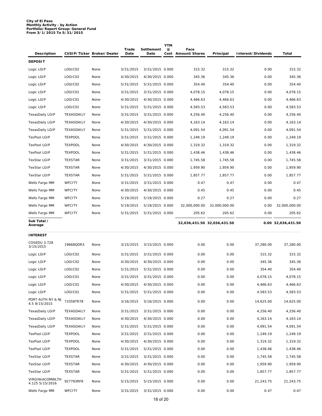# **City of El Paso Monthly Activity - by Action Portfolio/Report Group: General Fund From 3/1/2015 To 5/31/2015**

| Description                        |                | CUSIP/Ticker Broker/Dealer | Trade<br>Date | Settlement<br>Date | <b>YTM</b><br>$^{\copyright}$ | Face<br>Cost Amount/Shares | Principal                   | Interest/Dividends | Total              |
|------------------------------------|----------------|----------------------------|---------------|--------------------|-------------------------------|----------------------------|-----------------------------|--------------------|--------------------|
| <b>DEPOSIT</b>                     |                |                            |               |                    |                               |                            |                             |                    |                    |
| Logic LGIP                         | LOGIC02        | None                       | 3/31/2015     | 3/31/2015 0.000    |                               | 315.32                     | 315.32                      | 0.00               | 315.32             |
| Logic LGIP                         | LOGIC02        | None                       | 4/30/2015     | 4/30/2015 0.000    |                               | 345.36                     | 345.36                      | 0.00               | 345.36             |
| Logic LGIP                         | LOGIC02        | None                       | 5/31/2015     | 5/31/2015 0.000    |                               | 354.40                     | 354.40                      | 0.00               | 354.40             |
| Logic LGIP                         | LOGIC01        | None                       | 3/31/2015     | 3/31/2015 0.000    |                               | 4,078.15                   | 4,078.15                    | 0.00               | 4,078.15           |
| Logic LGIP                         | LOGIC01        | None                       | 4/30/2015     | 4/30/2015 0.000    |                               | 4,466.63                   | 4,466.63                    | 0.00               | 4,466.63           |
| Logic LGIP                         | LOGIC01        | None                       | 5/31/2015     | 5/31/2015 0.000    |                               | 4,583.53                   | 4,583.53                    | 0.00               | 4,583.53           |
| TexasDaily LGIP                    | TEXASDAILY     | None                       | 3/31/2015     | 3/31/2015 0.000    |                               | 4,256.40                   | 4,256.40                    | 0.00               | 4,256.40           |
| <b>TexasDaily LGIP</b>             | TEXASDAILY     | None                       | 4/30/2015     | 4/30/2015 0.000    |                               | 4,163.14                   | 4,163.14                    | 0.00               | 4,163.14           |
| <b>TexasDaily LGIP</b>             | TEXASDAILY     | None                       | 5/31/2015     | 5/31/2015 0.000    |                               | 4,091.54                   | 4,091.54                    | 0.00               | 4,091.54           |
| <b>TexPool LGIP</b>                | <b>TEXPOOL</b> | None                       | 3/31/2015     | 3/31/2015 0.000    |                               | 1,249.19                   | 1,249.19                    | 0.00               | 1,249.19           |
| <b>TexPool LGIP</b>                | <b>TEXPOOL</b> | None                       | 4/30/2015     | 4/30/2015 0.000    |                               | 1,319.32                   | 1,319.32                    | 0.00               | 1,319.32           |
| <b>TexPool LGIP</b>                | <b>TEXPOOL</b> | None                       | 5/31/2015     | 5/31/2015 0.000    |                               | 1,438.46                   | 1,438.46                    | 0.00               | 1,438.46           |
| <b>TexStar LGIP</b>                | <b>TEXSTAR</b> | None                       | 3/31/2015     | 3/31/2015 0.000    |                               | 1,745.58                   | 1,745.58                    | 0.00               | 1,745.58           |
| <b>TexStar LGIP</b>                | <b>TEXSTAR</b> | None                       | 4/30/2015     | 4/30/2015 0.000    |                               | 1,959.90                   | 1,959.90                    | 0.00               | 1,959.90           |
| <b>TexStar LGIP</b>                | <b>TEXSTAR</b> | None                       | 5/31/2015     | 5/31/2015 0.000    |                               | 1,857.77                   | 1,857.77                    | 0.00               | 1,857.77           |
| Wells Fargo MM                     | <b>WFCITY</b>  | None                       | 3/31/2015     | 3/31/2015 0.000    |                               | 0.47                       | 0.47                        | 0.00               | 0.47               |
| Wells Fargo MM                     | <b>WFCITY</b>  | None                       | 4/30/2015     | 4/30/2015 0.000    |                               | 0.45                       | 0.45                        | 0.00               | 0.45               |
| Wells Fargo MM                     | <b>WFCITY</b>  | None                       | 5/19/2015     | 5/19/2015 0.000    |                               | 0.27                       | 0.27                        | 0.00               | 0.27               |
| Wells Fargo MM                     | <b>WFCITY</b>  | None                       | 5/19/2015     | 5/19/2015 0.000    |                               | 32,000,000.00              | 32,000,000.00               | 0.00               | 32,000,000.00      |
| Wells Fargo MM                     | <b>WFCITY</b>  | None                       | 5/31/2015     | 5/31/2015 0.000    |                               | 205.62                     | 205.62                      | 0.00               | 205.62             |
| Sub Total /<br>Average             |                |                            |               |                    |                               |                            | 32,036,431.50 32,036,431.50 |                    | 0.00 32,036,431.50 |
| <b>INTEREST</b>                    |                |                            |               |                    |                               |                            |                             |                    |                    |
| COSEDU 3.728<br>3/15/2015          | 19668QDR3      | None                       | 3/15/2015     | 3/15/2015 0.000    |                               | 0.00                       | 0.00                        | 37,280.00          | 37,280.00          |
| Logic LGIP                         | LOGIC02        | None                       | 3/31/2015     | 3/31/2015 0.000    |                               | 0.00                       | 0.00                        | 315.32             | 315.32             |
| Logic LGIP                         | LOGIC02        | None                       | 4/30/2015     | 4/30/2015 0.000    |                               | 0.00                       | 0.00                        | 345.36             | 345.36             |
| Logic LGIP                         | LOGIC02        | None                       | 5/31/2015     | 5/31/2015 0.000    |                               | 0.00                       | 0.00                        | 354.40             | 354.40             |
| Logic LGIP                         | LOGIC01        | None                       | 3/31/2015     | 3/31/2015 0.000    |                               | 0.00                       | 0.00                        | 4,078.15           | 4,078.15           |
| Logic LGIP                         | LOGIC01        | None                       | 4/30/2015     | 4/30/2015 0.000    |                               | 0.00                       | 0.00                        | 4,466.63           | 4,466.63           |
| Logic LGIP                         | LOGIC01        | None                       | 5/31/2015     | 5/31/2015 0.000    |                               | 0.00                       | 0.00                        | 4,583.53           | 4,583.53           |
| PORT AUTH NY & NJ<br>4.5 9/15/2015 | 73358TR78      | None                       | 3/16/2015     | 3/16/2015 0.000    |                               | 0.00                       | 0.00                        | 14,625.00          | 14,625.00          |
| TexasDaily LGIP                    | TEXASDAILY     | None                       | 3/31/2015     | 3/31/2015 0.000    |                               | 0.00                       | 0.00                        | 4,256.40           | 4,256.40           |
| TexasDaily LGIP                    | TEXASDAILY     | None                       | 4/30/2015     | 4/30/2015 0.000    |                               | 0.00                       | 0.00                        | 4,163.14           | 4,163.14           |
| TexasDaily LGIP                    | TEXASDAILY     | None                       | 5/31/2015     | 5/31/2015 0.000    |                               | 0.00                       | 0.00                        | 4,091.54           | 4,091.54           |
| <b>TexPool LGIP</b>                | <b>TEXPOOL</b> | None                       | 3/31/2015     | 3/31/2015 0.000    |                               | 0.00                       | 0.00                        | 1,249.19           | 1,249.19           |
| <b>TexPool LGIP</b>                | <b>TEXPOOL</b> | None                       | 4/30/2015     | 4/30/2015 0.000    |                               | 0.00                       | 0.00                        | 1,319.32           | 1,319.32           |
| <b>TexPool LGIP</b>                | <b>TEXPOOL</b> | None                       | 5/31/2015     | 5/31/2015 0.000    |                               | 0.00                       | 0.00                        | 1,438.46           | 1,438.46           |
| <b>TexStar LGIP</b>                | <b>TEXSTAR</b> |                            |               | 3/31/2015 0.000    |                               | 0.00                       | 0.00                        | 1,745.58           | 1,745.58           |
|                                    |                | None                       | 3/31/2015     |                    |                               |                            |                             |                    |                    |
| <b>TexStar LGIP</b>                | <b>TEXSTAR</b> | None                       | 4/30/2015     | 4/30/2015 0.000    |                               | 0.00                       | 0.00                        | 1,959.90           | 1,959.90           |
| <b>TexStar LGIP</b>                | TEXSTAR        | None                       | 5/31/2015     | 5/31/2015 0.000    |                               | 0.00                       | 0.00                        | 1,857.77           | 1,857.77           |
| VIRGINIACOMWLTH<br>4.125 5/15/2016 | 927793RF8      | None                       | 5/15/2015     | 5/15/2015 0.000    |                               | 0.00                       | 0.00                        | 21,243.75          | 21,243.75          |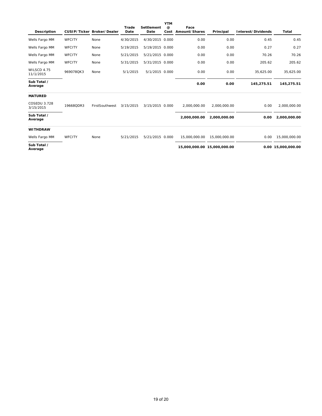| Description               |               | CUSIP/Ticker Broker/Dealer | Trade<br>Date | Settlement<br>Date | <b>YTM</b><br>$\omega$<br>Cost | Face<br>Amount/Shares       | Principal     | Interest/Dividends | Total              |
|---------------------------|---------------|----------------------------|---------------|--------------------|--------------------------------|-----------------------------|---------------|--------------------|--------------------|
| Wells Fargo MM            | WFCITY        | None                       | 4/30/2015     | 4/30/2015 0.000    |                                | 0.00                        | 0.00          | 0.45               | 0.45               |
| Wells Fargo MM            | <b>WFCITY</b> | None                       | 5/19/2015     | 5/19/2015 0.000    |                                | 0.00                        | 0.00          | 0.27               | 0.27               |
| Wells Fargo MM            | WFCITY        | None                       | 5/21/2015     | 5/21/2015 0.000    |                                | 0.00                        | 0.00          | 70.26              | 70.26              |
| Wells Fargo MM            | WFCITY        | None                       | 5/31/2015     | 5/31/2015 0.000    |                                | 0.00                        | 0.00          | 205.62             | 205.62             |
| WILSCD 4.75<br>11/1/2015  | 969078QK3     | None                       | 5/1/2015      | 5/1/2015 0.000     |                                | 0.00                        | 0.00          | 35,625.00          | 35,625.00          |
| Sub Total /<br>Average    |               |                            |               |                    |                                | 0.00                        | 0.00          | 145,275.51         | 145,275.51         |
| <b>MATURED</b>            |               |                            |               |                    |                                |                             |               |                    |                    |
| COSEDU 3.728<br>3/15/2015 | 19668QDR3     | FirstSouthwest             | 3/15/2015     | 3/15/2015 0.000    |                                | 2.000.000.00                | 2.000.000.00  | 0.00               | 2,000,000.00       |
| Sub Total /<br>Average    |               |                            |               |                    |                                | 2,000,000.00                | 2,000,000.00  | 0.00               | 2,000,000.00       |
| <b>WITHDRAW</b>           |               |                            |               |                    |                                |                             |               |                    |                    |
| Wells Fargo MM            | WFCITY        | None                       | 5/21/2015     | 5/21/2015 0.000    |                                | 15,000,000,00               | 15.000.000.00 | 0.00               | 15,000,000.00      |
| Sub Total /<br>Average    |               |                            |               |                    |                                | 15,000,000.00 15,000,000.00 |               |                    | 0.00 15,000,000.00 |